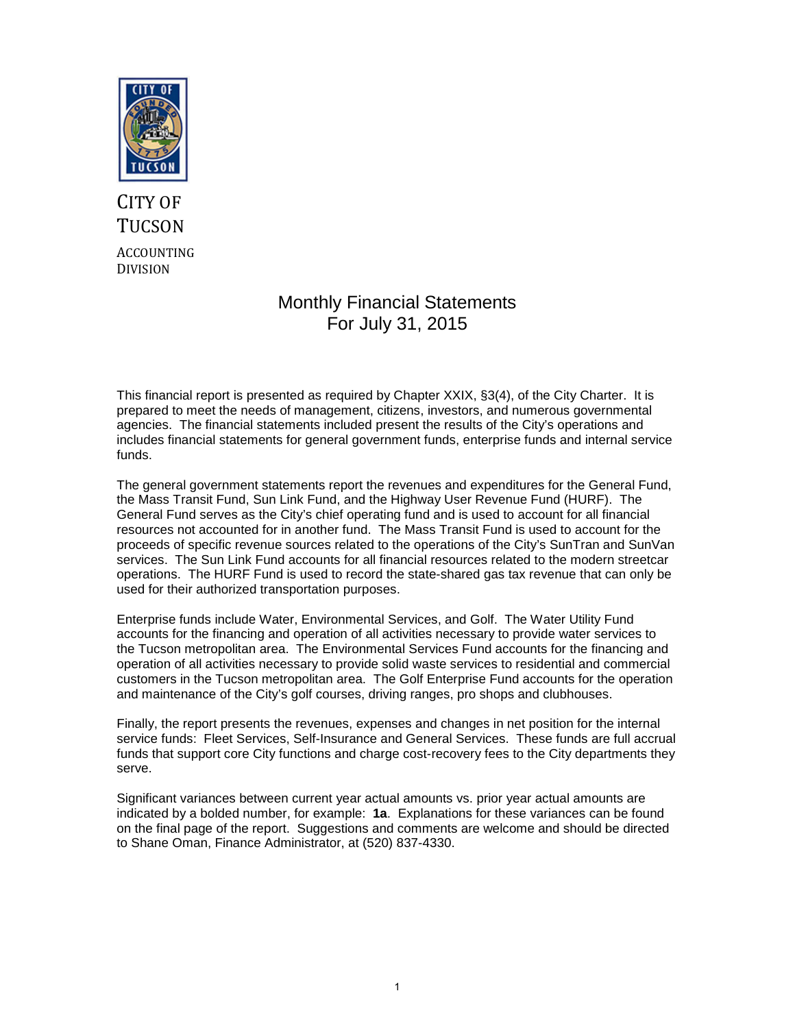

# CITY OF **TUCSON** ACCOUNTING DIVISION

# Monthly Financial Statements For July 31, 2015

This financial report is presented as required by Chapter XXIX, §3(4), of the City Charter. It is prepared to meet the needs of management, citizens, investors, and numerous governmental agencies. The financial statements included present the results of the City's operations and includes financial statements for general government funds, enterprise funds and internal service funds.

The general government statements report the revenues and expenditures for the General Fund, the Mass Transit Fund, Sun Link Fund, and the Highway User Revenue Fund (HURF). The General Fund serves as the City's chief operating fund and is used to account for all financial resources not accounted for in another fund. The Mass Transit Fund is used to account for the proceeds of specific revenue sources related to the operations of the City's SunTran and SunVan services. The Sun Link Fund accounts for all financial resources related to the modern streetcar operations. The HURF Fund is used to record the state-shared gas tax revenue that can only be used for their authorized transportation purposes.

Enterprise funds include Water, Environmental Services, and Golf. The Water Utility Fund accounts for the financing and operation of all activities necessary to provide water services to the Tucson metropolitan area. The Environmental Services Fund accounts for the financing and operation of all activities necessary to provide solid waste services to residential and commercial customers in the Tucson metropolitan area. The Golf Enterprise Fund accounts for the operation and maintenance of the City's golf courses, driving ranges, pro shops and clubhouses.

Finally, the report presents the revenues, expenses and changes in net position for the internal service funds: Fleet Services, Self-Insurance and General Services. These funds are full accrual funds that support core City functions and charge cost-recovery fees to the City departments they serve.

Significant variances between current year actual amounts vs. prior year actual amounts are indicated by a bolded number, for example: **1a**. Explanations for these variances can be found on the final page of the report. Suggestions and comments are welcome and should be directed to Shane Oman, Finance Administrator, at (520) 837-4330.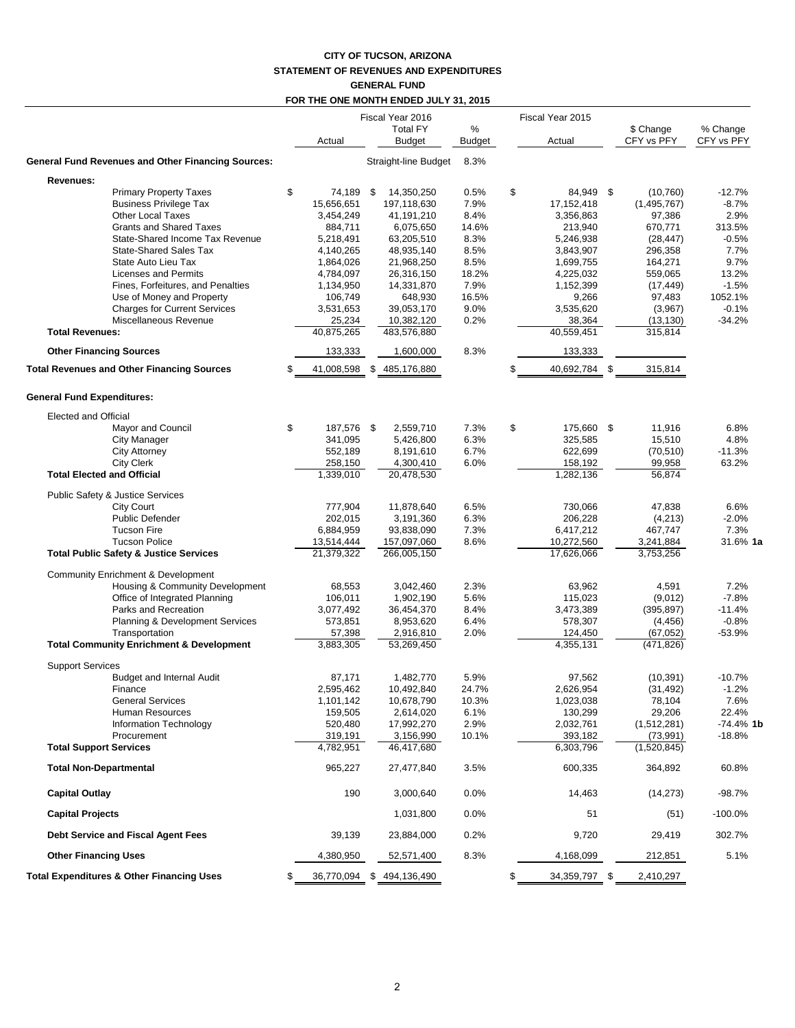### **CITY OF TUCSON, ARIZONA STATEMENT OF REVENUES AND EXPENDITURES GENERAL FUND**

### **FOR THE ONE MONTH ENDED JULY 31, 2015**

|                                                                                                                                      |                                                    |      | Fiscal Year 2016                                     |                                |    | Fiscal Year 2015                                  |                                               |                                        |
|--------------------------------------------------------------------------------------------------------------------------------------|----------------------------------------------------|------|------------------------------------------------------|--------------------------------|----|---------------------------------------------------|-----------------------------------------------|----------------------------------------|
|                                                                                                                                      | Actual                                             |      | <b>Total FY</b><br><b>Budget</b>                     | %<br>Budget                    |    | Actual                                            | \$ Change<br>CFY vs PFY                       | % Change<br>CFY vs PFY                 |
| <b>General Fund Revenues and Other Financing Sources:</b>                                                                            |                                                    |      | Straight-line Budget                                 | 8.3%                           |    |                                                   |                                               |                                        |
| Revenues:                                                                                                                            |                                                    |      |                                                      |                                |    |                                                   |                                               |                                        |
| <b>Primary Property Taxes</b><br><b>Business Privilege Tax</b><br><b>Other Local Taxes</b><br><b>Grants and Shared Taxes</b>         | \$<br>74,189<br>15,656,651<br>3,454,249<br>884,711 | \$   | 14,350,250<br>197,118,630<br>41,191,210<br>6,075,650 | 0.5%<br>7.9%<br>8.4%<br>14.6%  | \$ | 84,949 \$<br>17, 152, 418<br>3,356,863<br>213,940 | (10, 760)<br>(1,495,767)<br>97,386<br>670,771 | $-12.7%$<br>$-8.7%$<br>2.9%<br>313.5%  |
| State-Shared Income Tax Revenue<br><b>State-Shared Sales Tax</b><br>State Auto Lieu Tax                                              | 5,218,491<br>4,140,265<br>1,864,026                |      | 63,205,510<br>48,935,140<br>21,968,250               | 8.3%<br>8.5%<br>8.5%           |    | 5,246,938<br>3,843,907<br>1,699,755               | (28, 447)<br>296,358<br>164,271               | $-0.5%$<br>7.7%<br>9.7%                |
| <b>Licenses and Permits</b><br>Fines, Forfeitures, and Penalties<br>Use of Money and Property<br><b>Charges for Current Services</b> | 4,784,097<br>1,134,950<br>106,749<br>3,531,653     |      | 26,316,150<br>14,331,870<br>648,930<br>39,053,170    | 18.2%<br>7.9%<br>16.5%<br>9.0% |    | 4,225,032<br>1,152,399<br>9,266<br>3,535,620      | 559,065<br>(17, 449)<br>97,483<br>(3,967)     | 13.2%<br>$-1.5%$<br>1052.1%<br>$-0.1%$ |
| Miscellaneous Revenue<br><b>Total Revenues:</b>                                                                                      | 25,234<br>40,875,265                               |      | 10,382,120<br>483,576,880                            | 0.2%                           |    | 38,364<br>40,559,451                              | (13, 130)<br>315,814                          | $-34.2%$                               |
| <b>Other Financing Sources</b>                                                                                                       | 133,333                                            |      | 1,600,000                                            | 8.3%                           |    | 133,333                                           |                                               |                                        |
| <b>Total Revenues and Other Financing Sources</b>                                                                                    | \$<br>41,008,598                                   |      | \$485,176,880                                        |                                | S  | 40,692,784 \$                                     | 315,814                                       |                                        |
| <b>General Fund Expenditures:</b>                                                                                                    |                                                    |      |                                                      |                                |    |                                                   |                                               |                                        |
| <b>Elected and Official</b>                                                                                                          |                                                    |      |                                                      |                                |    |                                                   |                                               |                                        |
| Mayor and Council                                                                                                                    | \$<br>187,576                                      | - \$ | 2,559,710                                            | 7.3%                           | \$ | 175,660 \$                                        | 11,916                                        | 6.8%                                   |
| <b>City Manager</b><br><b>City Attorney</b>                                                                                          | 341,095<br>552,189                                 |      | 5,426,800<br>8,191,610                               | 6.3%<br>6.7%                   |    | 325,585<br>622,699                                | 15,510<br>(70, 510)                           | 4.8%<br>$-11.3%$                       |
| <b>City Clerk</b>                                                                                                                    | 258,150                                            |      | 4,300,410                                            | 6.0%                           |    | 158,192                                           | 99,958                                        | 63.2%                                  |
| <b>Total Elected and Official</b>                                                                                                    | 1,339,010                                          |      | 20,478,530                                           |                                |    | 1,282,136                                         | 56,874                                        |                                        |
| Public Safety & Justice Services                                                                                                     |                                                    |      |                                                      |                                |    |                                                   |                                               |                                        |
| <b>City Court</b>                                                                                                                    | 777,904                                            |      | 11,878,640                                           | 6.5%                           |    | 730,066                                           | 47,838                                        | 6.6%                                   |
| <b>Public Defender</b>                                                                                                               | 202,015                                            |      | 3,191,360                                            | 6.3%                           |    | 206,228                                           | (4,213)                                       | $-2.0%$                                |
| <b>Tucson Fire</b>                                                                                                                   | 6,884,959                                          |      | 93,838,090                                           | 7.3%                           |    | 6,417,212                                         | 467,747                                       | 7.3%                                   |
| <b>Tucson Police</b><br><b>Total Public Safety &amp; Justice Services</b>                                                            | 13,514,444<br>21,379,322                           |      | 157,097,060<br>266,005,150                           | 8.6%                           |    | 10,272,560<br>17,626,066                          | 3,241,884<br>3,753,256                        | 31.6% 1a                               |
| Community Enrichment & Development                                                                                                   |                                                    |      |                                                      |                                |    |                                                   |                                               |                                        |
| Housing & Community Development                                                                                                      | 68,553                                             |      | 3,042,460                                            | 2.3%                           |    | 63,962                                            | 4,591                                         | 7.2%                                   |
| Office of Integrated Planning                                                                                                        | 106,011                                            |      | 1,902,190                                            | 5.6%                           |    | 115,023                                           | (9,012)                                       | $-7.8%$                                |
| Parks and Recreation                                                                                                                 | 3,077,492                                          |      | 36,454,370                                           | 8.4%                           |    | 3,473,389                                         | (395, 897)                                    | $-11.4%$                               |
| <b>Planning &amp; Development Services</b>                                                                                           | 573,851                                            |      | 8,953,620                                            | 6.4%                           |    | 578,307                                           | (4, 456)                                      | $-0.8%$                                |
| Transportation                                                                                                                       | 57,398                                             |      | 2,916,810                                            | 2.0%                           |    | 124,450                                           | (67, 052)                                     | $-53.9%$                               |
| <b>Total Community Enrichment &amp; Development</b>                                                                                  | 3,883,305                                          |      | 53,269,450                                           |                                |    | 4,355,131                                         | (471, 826)                                    |                                        |
| <b>Support Services</b><br><b>Budget and Internal Audit</b>                                                                          | 87,171                                             |      | 1,482,770                                            | 5.9%                           |    | 97,562                                            | (10, 391)                                     | $-10.7%$                               |
| Finance                                                                                                                              | 2,595,462                                          |      | 10,492,840                                           | 24.7%                          |    | 2,626,954                                         | (31, 492)                                     | $-1.2%$                                |
| <b>General Services</b>                                                                                                              | 1,101,142                                          |      | 10,678,790                                           | 10.3%                          |    | 1,023,038                                         | 78,104                                        | 7.6%                                   |
| Human Resources                                                                                                                      | 159,505                                            |      | 2,614,020                                            | 6.1%                           |    | 130,299                                           | 29,206                                        | 22.4%                                  |
| Information Technology                                                                                                               | 520,480                                            |      | 17,992,270                                           | 2.9%                           |    | 2,032,761                                         | (1,512,281)                                   | $-74.4%$ 1k                            |
| Procurement                                                                                                                          | 319,191                                            |      | 3,156,990                                            | 10.1%                          |    | 393,182                                           | (73, 991)                                     | $-18.8%$                               |
| <b>Total Support Services</b>                                                                                                        | 4,782,951                                          |      | 46,417,680                                           |                                |    | 6,303,796                                         | (1,520,845)                                   |                                        |
| <b>Total Non-Departmental</b>                                                                                                        | 965,227                                            |      | 27,477,840                                           | 3.5%                           |    | 600,335                                           | 364,892                                       | 60.8%                                  |
| <b>Capital Outlay</b>                                                                                                                | 190                                                |      | 3,000,640                                            | 0.0%                           |    | 14,463                                            | (14, 273)                                     | $-98.7%$                               |
| <b>Capital Projects</b>                                                                                                              |                                                    |      | 1,031,800                                            | 0.0%                           |    | 51                                                | (51)                                          | $-100.0%$                              |
| Debt Service and Fiscal Agent Fees                                                                                                   | 39,139                                             |      | 23,884,000                                           | 0.2%                           |    | 9,720                                             | 29,419                                        | 302.7%                                 |
| <b>Other Financing Uses</b>                                                                                                          | 4,380,950                                          |      | 52,571,400                                           | 8.3%                           |    | 4,168,099                                         | 212,851                                       | 5.1%                                   |
| <b>Total Expenditures &amp; Other Financing Uses</b>                                                                                 | \$                                                 |      | 36,770,094 \$ 494,136,490                            |                                | \$ | 34,359,797 \$                                     | 2,410,297                                     |                                        |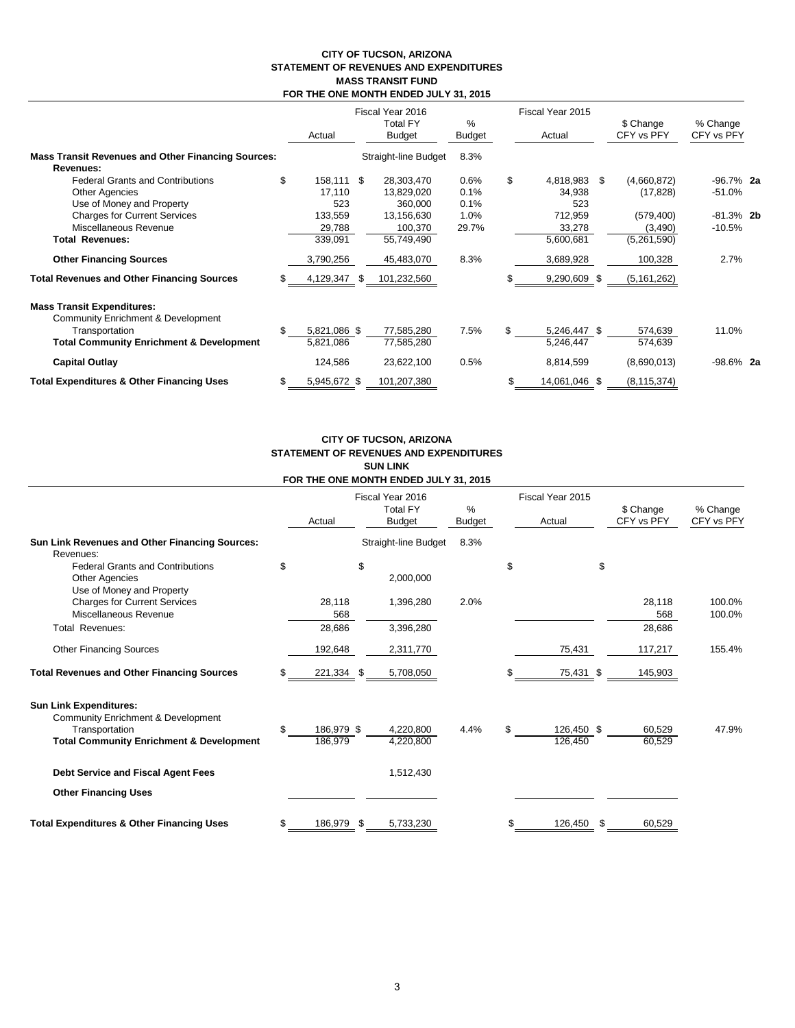#### **CITY OF TUCSON, ARIZONA STATEMENT OF REVENUES AND EXPENDITURES MASS TRANSIT FUND FOR THE ONE MONTH ENDED JULY 31, 2015**

|                                                                                    | Actual             |   | Fiscal Year 2016<br><b>Total FY</b><br><b>Budget</b> | %<br>Budget | Fiscal Year 2015<br>Actual |               |     | \$ Change<br>CFY vs PFY | % Change<br>CFY vs PFY |  |
|------------------------------------------------------------------------------------|--------------------|---|------------------------------------------------------|-------------|----------------------------|---------------|-----|-------------------------|------------------------|--|
| <b>Mass Transit Revenues and Other Financing Sources:</b>                          |                    |   | Straight-line Budget                                 | 8.3%        |                            |               |     |                         |                        |  |
| Revenues:                                                                          |                    |   |                                                      |             |                            |               |     |                         |                        |  |
| <b>Federal Grants and Contributions</b>                                            | \$<br>158,111 \$   |   | 28,303,470                                           | 0.6%        | \$                         | 4,818,983     | \$. | (4,660,872)             | $-96.7\%$ 2a           |  |
| <b>Other Agencies</b>                                                              | 17,110             |   | 13,829,020                                           | 0.1%        |                            | 34,938        |     | (17, 828)               | $-51.0%$               |  |
| Use of Money and Property                                                          | 523                |   | 360,000                                              | 0.1%        |                            | 523           |     |                         |                        |  |
| <b>Charges for Current Services</b>                                                | 133,559            |   | 13,156,630                                           | 1.0%        |                            | 712,959       |     | (579, 400)              | $-81.3\%$ 2b           |  |
| Miscellaneous Revenue                                                              | 29,788             |   | 100,370                                              | 29.7%       |                            | 33,278        |     | (3,490)                 | $-10.5%$               |  |
| <b>Total Revenues:</b>                                                             | 339,091            |   | 55,749,490                                           |             |                            | 5,600,681     |     | (5,261,590)             |                        |  |
| <b>Other Financing Sources</b>                                                     | 3,790,256          |   | 45,483,070                                           | 8.3%        |                            | 3,689,928     |     | 100,328                 | 2.7%                   |  |
| <b>Total Revenues and Other Financing Sources</b>                                  | 4,129,347          | S | 101,232,560                                          |             |                            | 9,290,609 \$  |     | (5, 161, 262)           |                        |  |
| <b>Mass Transit Expenditures:</b><br><b>Community Enrichment &amp; Development</b> |                    |   |                                                      |             |                            |               |     |                         |                        |  |
| Transportation                                                                     | \$<br>5,821,086 \$ |   | 77,585,280                                           | 7.5%        |                            | 5,246,447 \$  |     | 574,639                 | 11.0%                  |  |
| <b>Total Community Enrichment &amp; Development</b>                                | 5,821,086          |   | 77,585,280                                           |             |                            | 5,246,447     |     | 574,639                 |                        |  |
| <b>Capital Outlay</b>                                                              | 124,586            |   | 23,622,100                                           | 0.5%        |                            | 8,814,599     |     | (8,690,013)             | $-98.6\%$ 2a           |  |
| <b>Total Expenditures &amp; Other Financing Uses</b>                               | \$<br>5,945,672 \$ |   | 101,207,380                                          |             | \$                         | 14,061,046 \$ |     | (8, 115, 374)           |                        |  |

## **CITY OF TUCSON, ARIZONA STATEMENT OF REVENUES AND EXPENDITURES SUN LINK**

|                                                                                                                                              |        |                       |                                                      | <b>SUN LINN</b><br>FOR THE ONE MONTH ENDED JULY 31, 2015 |                |                            |                       |     |                         |                        |
|----------------------------------------------------------------------------------------------------------------------------------------------|--------|-----------------------|------------------------------------------------------|----------------------------------------------------------|----------------|----------------------------|-----------------------|-----|-------------------------|------------------------|
|                                                                                                                                              | Actual |                       | Fiscal Year 2016<br><b>Total FY</b><br><b>Budget</b> |                                                          | $\%$<br>Budget | Fiscal Year 2015<br>Actual |                       |     | \$ Change<br>CFY vs PFY | % Change<br>CFY vs PFY |
| Sun Link Revenues and Other Financing Sources:<br>Revenues:                                                                                  |        |                       |                                                      | Straight-line Budget                                     | 8.3%           |                            |                       |     |                         |                        |
| <b>Federal Grants and Contributions</b><br><b>Other Agencies</b><br>Use of Money and Property                                                | \$     |                       | \$                                                   | 2,000,000                                                |                | \$                         |                       | \$  |                         |                        |
| <b>Charges for Current Services</b><br>Miscellaneous Revenue                                                                                 |        | 28,118<br>568         |                                                      | 1,396,280                                                | 2.0%           |                            |                       |     | 28,118<br>568           | 100.0%<br>100.0%       |
| <b>Total Revenues:</b>                                                                                                                       |        | 28,686                |                                                      | 3,396,280                                                |                |                            |                       |     | 28,686                  |                        |
| <b>Other Financing Sources</b>                                                                                                               |        | 192,648               |                                                      | 2,311,770                                                |                |                            | 75,431                |     | 117,217                 | 155.4%                 |
| <b>Total Revenues and Other Financing Sources</b>                                                                                            | \$     | 221,334 \$            |                                                      | 5,708,050                                                |                |                            | 75,431 \$             |     | 145,903                 |                        |
| <b>Sun Link Expenditures:</b><br>Community Enrichment & Development<br>Transportation<br><b>Total Community Enrichment &amp; Development</b> | \$     | 186,979 \$<br>186,979 |                                                      | 4,220,800<br>4,220,800                                   | 4.4%           | \$                         | 126,450 \$<br>126,450 |     | 60,529<br>60,529        | 47.9%                  |
| Debt Service and Fiscal Agent Fees                                                                                                           |        |                       |                                                      | 1,512,430                                                |                |                            |                       |     |                         |                        |
| <b>Other Financing Uses</b>                                                                                                                  |        |                       |                                                      |                                                          |                |                            |                       |     |                         |                        |
| <b>Total Expenditures &amp; Other Financing Uses</b>                                                                                         | \$     | 186,979 \$            |                                                      | 5,733,230                                                |                | \$                         | 126,450               | \$. | 60,529                  |                        |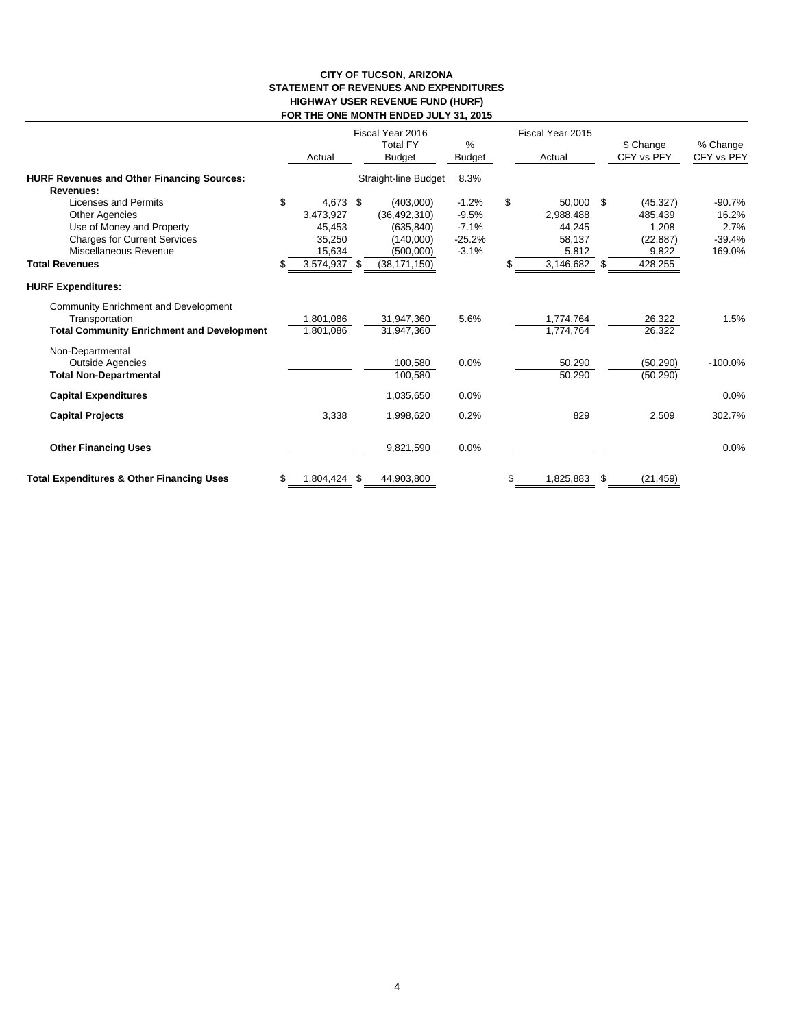#### **CITY OF TUCSON, ARIZONA STATEMENT OF REVENUES AND EXPENDITURES HIGHWAY USER REVENUE FUND (HURF) FOR THE ONE MONTH ENDED JULY 31, 2015**

|                                                      | Actual             | Fiscal Year 2016<br><b>Total FY</b><br><b>Budget</b> | %<br>Budget | Fiscal Year 2015<br>Actual |     | \$ Change<br>CFY vs PFY | % Change<br>CFY vs PFY |
|------------------------------------------------------|--------------------|------------------------------------------------------|-------------|----------------------------|-----|-------------------------|------------------------|
| <b>HURF Revenues and Other Financing Sources:</b>    |                    | <b>Straight-line Budget</b>                          | 8.3%        |                            |     |                         |                        |
| Revenues:                                            |                    |                                                      |             |                            |     |                         |                        |
| Licenses and Permits                                 | \$<br>4,673 \$     | (403,000)                                            | $-1.2%$     | \$<br>50,000 \$            |     | (45, 327)               | $-90.7%$               |
| <b>Other Agencies</b>                                | 3,473,927          | (36, 492, 310)                                       | $-9.5%$     | 2,988,488                  |     | 485,439                 | 16.2%                  |
| Use of Money and Property                            | 45,453             | (635, 840)                                           | $-7.1%$     | 44,245                     |     | 1,208                   | 2.7%                   |
| <b>Charges for Current Services</b>                  | 35,250             | (140,000)                                            | $-25.2%$    | 58,137                     |     | (22, 887)               | $-39.4%$               |
| Miscellaneous Revenue                                | 15,634             | (500,000)                                            | $-3.1%$     | 5,812                      |     | 9,822                   | 169.0%                 |
| <b>Total Revenues</b>                                | 3,574,937 \$       | (38, 171, 150)                                       |             | 3,146,682 \$               |     | 428,255                 |                        |
| <b>HURF Expenditures:</b>                            |                    |                                                      |             |                            |     |                         |                        |
| Community Enrichment and Development                 |                    |                                                      |             |                            |     |                         |                        |
| Transportation                                       | 1,801,086          | 31,947,360                                           | 5.6%        | 1,774,764                  |     | 26,322                  | 1.5%                   |
| <b>Total Community Enrichment and Development</b>    | 1,801,086          | 31.947.360                                           |             | 1,774,764                  |     | 26,322                  |                        |
| Non-Departmental                                     |                    |                                                      |             |                            |     |                         |                        |
| <b>Outside Agencies</b>                              |                    | 100,580                                              | 0.0%        | 50,290                     |     | (50, 290)               | $-100.0%$              |
| <b>Total Non-Departmental</b>                        |                    | 100,580                                              |             | 50,290                     |     | (50, 290)               |                        |
| <b>Capital Expenditures</b>                          |                    | 1,035,650                                            | 0.0%        |                            |     |                         | 0.0%                   |
| <b>Capital Projects</b>                              | 3,338              | 1,998,620                                            | 0.2%        | 829                        |     | 2,509                   | 302.7%                 |
| <b>Other Financing Uses</b>                          |                    | 9,821,590                                            | 0.0%        |                            |     |                         | 0.0%                   |
| <b>Total Expenditures &amp; Other Financing Uses</b> | \$<br>1,804,424 \$ | 44,903,800                                           |             | \$<br>1,825,883            | \$. | (21, 459)               |                        |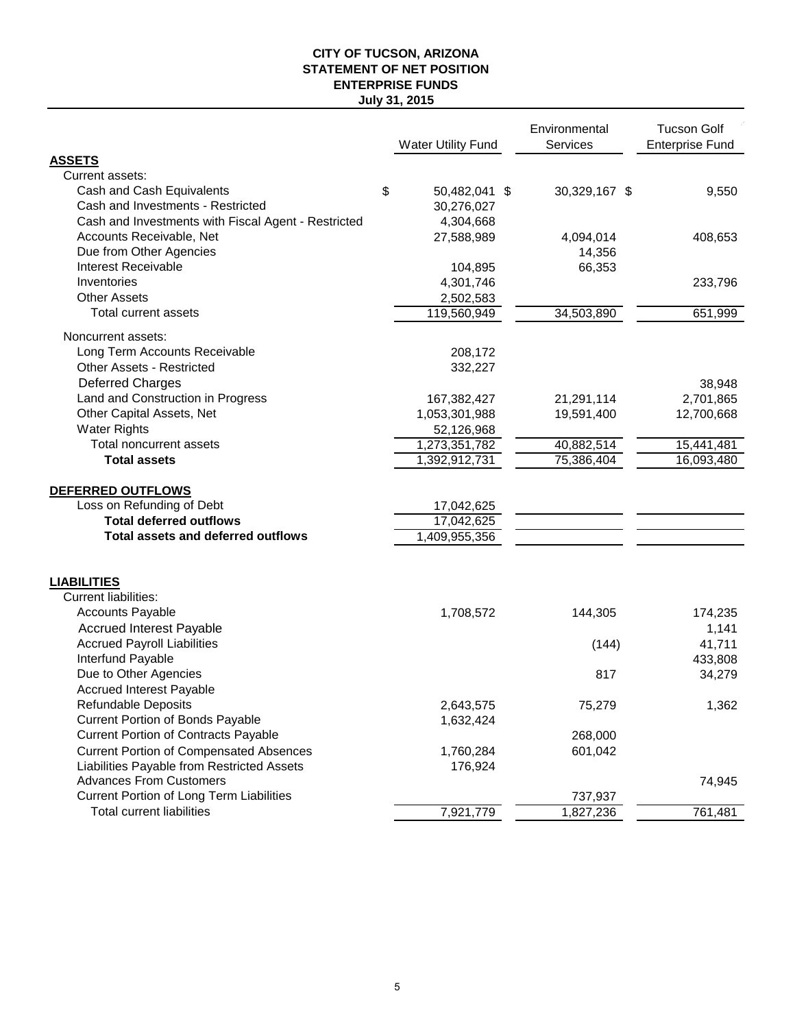## **CITY OF TUCSON, ARIZONA STATEMENT OF NET POSITION July 31, 2015 ENTERPRISE FUNDS**

| Current assets:<br>Cash and Cash Equivalents<br>\$<br>50,482,041 \$<br>30,329,167 \$<br>9,550<br>Cash and Investments - Restricted<br>30,276,027<br>Cash and Investments with Fiscal Agent - Restricted<br>4,304,668<br>Accounts Receivable, Net<br>27,588,989<br>4,094,014<br>408,653<br>Due from Other Agencies<br>14,356<br>Interest Receivable<br>66,353<br>104,895<br>Inventories<br>4,301,746<br>233,796<br><b>Other Assets</b><br>2,502,583<br>Total current assets<br>119,560,949<br>34,503,890<br>651,999<br>Noncurrent assets:<br>Long Term Accounts Receivable<br>208,172<br><b>Other Assets - Restricted</b><br>332,227<br><b>Deferred Charges</b><br>38,948<br>Land and Construction in Progress<br>167,382,427<br>21,291,114<br>2,701,865<br>Other Capital Assets, Net<br>1,053,301,988<br>19,591,400<br>12,700,668<br><b>Water Rights</b><br>52,126,968<br>40,882,514<br>Total noncurrent assets<br>15,441,481<br>1,273,351,782<br><b>Total assets</b><br>75,386,404<br>16,093,480<br>1,392,912,731<br>DEFERRED OUTFLOWS<br>Loss on Refunding of Debt<br>17,042,625<br><b>Total deferred outflows</b><br>17,042,625<br><b>Total assets and deferred outflows</b><br>1,409,955,356<br><b>LIABILITIES</b><br><b>Current liabilities:</b><br><b>Accounts Payable</b><br>1,708,572<br>144,305<br>174,235<br><b>Accrued Interest Payable</b><br>1,141<br><b>Accrued Payroll Liabilities</b><br>(144)<br>41,711<br>Interfund Payable<br>433,808<br>Due to Other Agencies<br>817<br>34,279<br><b>Accrued Interest Payable</b><br><b>Refundable Deposits</b><br>2,643,575<br>75,279<br>1,362<br><b>Current Portion of Bonds Payable</b><br>1,632,424<br><b>Current Portion of Contracts Payable</b><br>268,000<br><b>Current Portion of Compensated Absences</b><br>1,760,284<br>601,042<br>Liabilities Payable from Restricted Assets<br>176,924<br><b>Advances From Customers</b><br>74,945<br>Current Portion of Long Term Liabilities<br>737,937 |               | <b>Water Utility Fund</b> | Environmental<br><b>Services</b> | <b>Tucson Golf</b><br><b>Enterprise Fund</b> |
|-------------------------------------------------------------------------------------------------------------------------------------------------------------------------------------------------------------------------------------------------------------------------------------------------------------------------------------------------------------------------------------------------------------------------------------------------------------------------------------------------------------------------------------------------------------------------------------------------------------------------------------------------------------------------------------------------------------------------------------------------------------------------------------------------------------------------------------------------------------------------------------------------------------------------------------------------------------------------------------------------------------------------------------------------------------------------------------------------------------------------------------------------------------------------------------------------------------------------------------------------------------------------------------------------------------------------------------------------------------------------------------------------------------------------------------------------------------------------------------------------------------------------------------------------------------------------------------------------------------------------------------------------------------------------------------------------------------------------------------------------------------------------------------------------------------------------------------------------------------------------------------------------------------------------------------------------------------|---------------|---------------------------|----------------------------------|----------------------------------------------|
|                                                                                                                                                                                                                                                                                                                                                                                                                                                                                                                                                                                                                                                                                                                                                                                                                                                                                                                                                                                                                                                                                                                                                                                                                                                                                                                                                                                                                                                                                                                                                                                                                                                                                                                                                                                                                                                                                                                                                             | <b>ASSETS</b> |                           |                                  |                                              |
|                                                                                                                                                                                                                                                                                                                                                                                                                                                                                                                                                                                                                                                                                                                                                                                                                                                                                                                                                                                                                                                                                                                                                                                                                                                                                                                                                                                                                                                                                                                                                                                                                                                                                                                                                                                                                                                                                                                                                             |               |                           |                                  |                                              |
|                                                                                                                                                                                                                                                                                                                                                                                                                                                                                                                                                                                                                                                                                                                                                                                                                                                                                                                                                                                                                                                                                                                                                                                                                                                                                                                                                                                                                                                                                                                                                                                                                                                                                                                                                                                                                                                                                                                                                             |               |                           |                                  |                                              |
|                                                                                                                                                                                                                                                                                                                                                                                                                                                                                                                                                                                                                                                                                                                                                                                                                                                                                                                                                                                                                                                                                                                                                                                                                                                                                                                                                                                                                                                                                                                                                                                                                                                                                                                                                                                                                                                                                                                                                             |               |                           |                                  |                                              |
|                                                                                                                                                                                                                                                                                                                                                                                                                                                                                                                                                                                                                                                                                                                                                                                                                                                                                                                                                                                                                                                                                                                                                                                                                                                                                                                                                                                                                                                                                                                                                                                                                                                                                                                                                                                                                                                                                                                                                             |               |                           |                                  |                                              |
|                                                                                                                                                                                                                                                                                                                                                                                                                                                                                                                                                                                                                                                                                                                                                                                                                                                                                                                                                                                                                                                                                                                                                                                                                                                                                                                                                                                                                                                                                                                                                                                                                                                                                                                                                                                                                                                                                                                                                             |               |                           |                                  |                                              |
|                                                                                                                                                                                                                                                                                                                                                                                                                                                                                                                                                                                                                                                                                                                                                                                                                                                                                                                                                                                                                                                                                                                                                                                                                                                                                                                                                                                                                                                                                                                                                                                                                                                                                                                                                                                                                                                                                                                                                             |               |                           |                                  |                                              |
|                                                                                                                                                                                                                                                                                                                                                                                                                                                                                                                                                                                                                                                                                                                                                                                                                                                                                                                                                                                                                                                                                                                                                                                                                                                                                                                                                                                                                                                                                                                                                                                                                                                                                                                                                                                                                                                                                                                                                             |               |                           |                                  |                                              |
|                                                                                                                                                                                                                                                                                                                                                                                                                                                                                                                                                                                                                                                                                                                                                                                                                                                                                                                                                                                                                                                                                                                                                                                                                                                                                                                                                                                                                                                                                                                                                                                                                                                                                                                                                                                                                                                                                                                                                             |               |                           |                                  |                                              |
|                                                                                                                                                                                                                                                                                                                                                                                                                                                                                                                                                                                                                                                                                                                                                                                                                                                                                                                                                                                                                                                                                                                                                                                                                                                                                                                                                                                                                                                                                                                                                                                                                                                                                                                                                                                                                                                                                                                                                             |               |                           |                                  |                                              |
|                                                                                                                                                                                                                                                                                                                                                                                                                                                                                                                                                                                                                                                                                                                                                                                                                                                                                                                                                                                                                                                                                                                                                                                                                                                                                                                                                                                                                                                                                                                                                                                                                                                                                                                                                                                                                                                                                                                                                             |               |                           |                                  |                                              |
|                                                                                                                                                                                                                                                                                                                                                                                                                                                                                                                                                                                                                                                                                                                                                                                                                                                                                                                                                                                                                                                                                                                                                                                                                                                                                                                                                                                                                                                                                                                                                                                                                                                                                                                                                                                                                                                                                                                                                             |               |                           |                                  |                                              |
|                                                                                                                                                                                                                                                                                                                                                                                                                                                                                                                                                                                                                                                                                                                                                                                                                                                                                                                                                                                                                                                                                                                                                                                                                                                                                                                                                                                                                                                                                                                                                                                                                                                                                                                                                                                                                                                                                                                                                             |               |                           |                                  |                                              |
|                                                                                                                                                                                                                                                                                                                                                                                                                                                                                                                                                                                                                                                                                                                                                                                                                                                                                                                                                                                                                                                                                                                                                                                                                                                                                                                                                                                                                                                                                                                                                                                                                                                                                                                                                                                                                                                                                                                                                             |               |                           |                                  |                                              |
|                                                                                                                                                                                                                                                                                                                                                                                                                                                                                                                                                                                                                                                                                                                                                                                                                                                                                                                                                                                                                                                                                                                                                                                                                                                                                                                                                                                                                                                                                                                                                                                                                                                                                                                                                                                                                                                                                                                                                             |               |                           |                                  |                                              |
|                                                                                                                                                                                                                                                                                                                                                                                                                                                                                                                                                                                                                                                                                                                                                                                                                                                                                                                                                                                                                                                                                                                                                                                                                                                                                                                                                                                                                                                                                                                                                                                                                                                                                                                                                                                                                                                                                                                                                             |               |                           |                                  |                                              |
|                                                                                                                                                                                                                                                                                                                                                                                                                                                                                                                                                                                                                                                                                                                                                                                                                                                                                                                                                                                                                                                                                                                                                                                                                                                                                                                                                                                                                                                                                                                                                                                                                                                                                                                                                                                                                                                                                                                                                             |               |                           |                                  |                                              |
|                                                                                                                                                                                                                                                                                                                                                                                                                                                                                                                                                                                                                                                                                                                                                                                                                                                                                                                                                                                                                                                                                                                                                                                                                                                                                                                                                                                                                                                                                                                                                                                                                                                                                                                                                                                                                                                                                                                                                             |               |                           |                                  |                                              |
|                                                                                                                                                                                                                                                                                                                                                                                                                                                                                                                                                                                                                                                                                                                                                                                                                                                                                                                                                                                                                                                                                                                                                                                                                                                                                                                                                                                                                                                                                                                                                                                                                                                                                                                                                                                                                                                                                                                                                             |               |                           |                                  |                                              |
|                                                                                                                                                                                                                                                                                                                                                                                                                                                                                                                                                                                                                                                                                                                                                                                                                                                                                                                                                                                                                                                                                                                                                                                                                                                                                                                                                                                                                                                                                                                                                                                                                                                                                                                                                                                                                                                                                                                                                             |               |                           |                                  |                                              |
|                                                                                                                                                                                                                                                                                                                                                                                                                                                                                                                                                                                                                                                                                                                                                                                                                                                                                                                                                                                                                                                                                                                                                                                                                                                                                                                                                                                                                                                                                                                                                                                                                                                                                                                                                                                                                                                                                                                                                             |               |                           |                                  |                                              |
|                                                                                                                                                                                                                                                                                                                                                                                                                                                                                                                                                                                                                                                                                                                                                                                                                                                                                                                                                                                                                                                                                                                                                                                                                                                                                                                                                                                                                                                                                                                                                                                                                                                                                                                                                                                                                                                                                                                                                             |               |                           |                                  |                                              |
|                                                                                                                                                                                                                                                                                                                                                                                                                                                                                                                                                                                                                                                                                                                                                                                                                                                                                                                                                                                                                                                                                                                                                                                                                                                                                                                                                                                                                                                                                                                                                                                                                                                                                                                                                                                                                                                                                                                                                             |               |                           |                                  |                                              |
|                                                                                                                                                                                                                                                                                                                                                                                                                                                                                                                                                                                                                                                                                                                                                                                                                                                                                                                                                                                                                                                                                                                                                                                                                                                                                                                                                                                                                                                                                                                                                                                                                                                                                                                                                                                                                                                                                                                                                             |               |                           |                                  |                                              |
|                                                                                                                                                                                                                                                                                                                                                                                                                                                                                                                                                                                                                                                                                                                                                                                                                                                                                                                                                                                                                                                                                                                                                                                                                                                                                                                                                                                                                                                                                                                                                                                                                                                                                                                                                                                                                                                                                                                                                             |               |                           |                                  |                                              |
|                                                                                                                                                                                                                                                                                                                                                                                                                                                                                                                                                                                                                                                                                                                                                                                                                                                                                                                                                                                                                                                                                                                                                                                                                                                                                                                                                                                                                                                                                                                                                                                                                                                                                                                                                                                                                                                                                                                                                             |               |                           |                                  |                                              |
|                                                                                                                                                                                                                                                                                                                                                                                                                                                                                                                                                                                                                                                                                                                                                                                                                                                                                                                                                                                                                                                                                                                                                                                                                                                                                                                                                                                                                                                                                                                                                                                                                                                                                                                                                                                                                                                                                                                                                             |               |                           |                                  |                                              |
|                                                                                                                                                                                                                                                                                                                                                                                                                                                                                                                                                                                                                                                                                                                                                                                                                                                                                                                                                                                                                                                                                                                                                                                                                                                                                                                                                                                                                                                                                                                                                                                                                                                                                                                                                                                                                                                                                                                                                             |               |                           |                                  |                                              |
|                                                                                                                                                                                                                                                                                                                                                                                                                                                                                                                                                                                                                                                                                                                                                                                                                                                                                                                                                                                                                                                                                                                                                                                                                                                                                                                                                                                                                                                                                                                                                                                                                                                                                                                                                                                                                                                                                                                                                             |               |                           |                                  |                                              |
|                                                                                                                                                                                                                                                                                                                                                                                                                                                                                                                                                                                                                                                                                                                                                                                                                                                                                                                                                                                                                                                                                                                                                                                                                                                                                                                                                                                                                                                                                                                                                                                                                                                                                                                                                                                                                                                                                                                                                             |               |                           |                                  |                                              |
|                                                                                                                                                                                                                                                                                                                                                                                                                                                                                                                                                                                                                                                                                                                                                                                                                                                                                                                                                                                                                                                                                                                                                                                                                                                                                                                                                                                                                                                                                                                                                                                                                                                                                                                                                                                                                                                                                                                                                             |               |                           |                                  |                                              |
|                                                                                                                                                                                                                                                                                                                                                                                                                                                                                                                                                                                                                                                                                                                                                                                                                                                                                                                                                                                                                                                                                                                                                                                                                                                                                                                                                                                                                                                                                                                                                                                                                                                                                                                                                                                                                                                                                                                                                             |               |                           |                                  |                                              |
|                                                                                                                                                                                                                                                                                                                                                                                                                                                                                                                                                                                                                                                                                                                                                                                                                                                                                                                                                                                                                                                                                                                                                                                                                                                                                                                                                                                                                                                                                                                                                                                                                                                                                                                                                                                                                                                                                                                                                             |               |                           |                                  |                                              |
|                                                                                                                                                                                                                                                                                                                                                                                                                                                                                                                                                                                                                                                                                                                                                                                                                                                                                                                                                                                                                                                                                                                                                                                                                                                                                                                                                                                                                                                                                                                                                                                                                                                                                                                                                                                                                                                                                                                                                             |               |                           |                                  |                                              |
|                                                                                                                                                                                                                                                                                                                                                                                                                                                                                                                                                                                                                                                                                                                                                                                                                                                                                                                                                                                                                                                                                                                                                                                                                                                                                                                                                                                                                                                                                                                                                                                                                                                                                                                                                                                                                                                                                                                                                             |               |                           |                                  |                                              |
|                                                                                                                                                                                                                                                                                                                                                                                                                                                                                                                                                                                                                                                                                                                                                                                                                                                                                                                                                                                                                                                                                                                                                                                                                                                                                                                                                                                                                                                                                                                                                                                                                                                                                                                                                                                                                                                                                                                                                             |               |                           |                                  |                                              |
|                                                                                                                                                                                                                                                                                                                                                                                                                                                                                                                                                                                                                                                                                                                                                                                                                                                                                                                                                                                                                                                                                                                                                                                                                                                                                                                                                                                                                                                                                                                                                                                                                                                                                                                                                                                                                                                                                                                                                             |               |                           |                                  |                                              |
|                                                                                                                                                                                                                                                                                                                                                                                                                                                                                                                                                                                                                                                                                                                                                                                                                                                                                                                                                                                                                                                                                                                                                                                                                                                                                                                                                                                                                                                                                                                                                                                                                                                                                                                                                                                                                                                                                                                                                             |               |                           |                                  |                                              |
|                                                                                                                                                                                                                                                                                                                                                                                                                                                                                                                                                                                                                                                                                                                                                                                                                                                                                                                                                                                                                                                                                                                                                                                                                                                                                                                                                                                                                                                                                                                                                                                                                                                                                                                                                                                                                                                                                                                                                             |               |                           |                                  |                                              |
| <b>Total current liabilities</b><br>7,921,779<br>761,481<br>1,827,236                                                                                                                                                                                                                                                                                                                                                                                                                                                                                                                                                                                                                                                                                                                                                                                                                                                                                                                                                                                                                                                                                                                                                                                                                                                                                                                                                                                                                                                                                                                                                                                                                                                                                                                                                                                                                                                                                       |               |                           |                                  |                                              |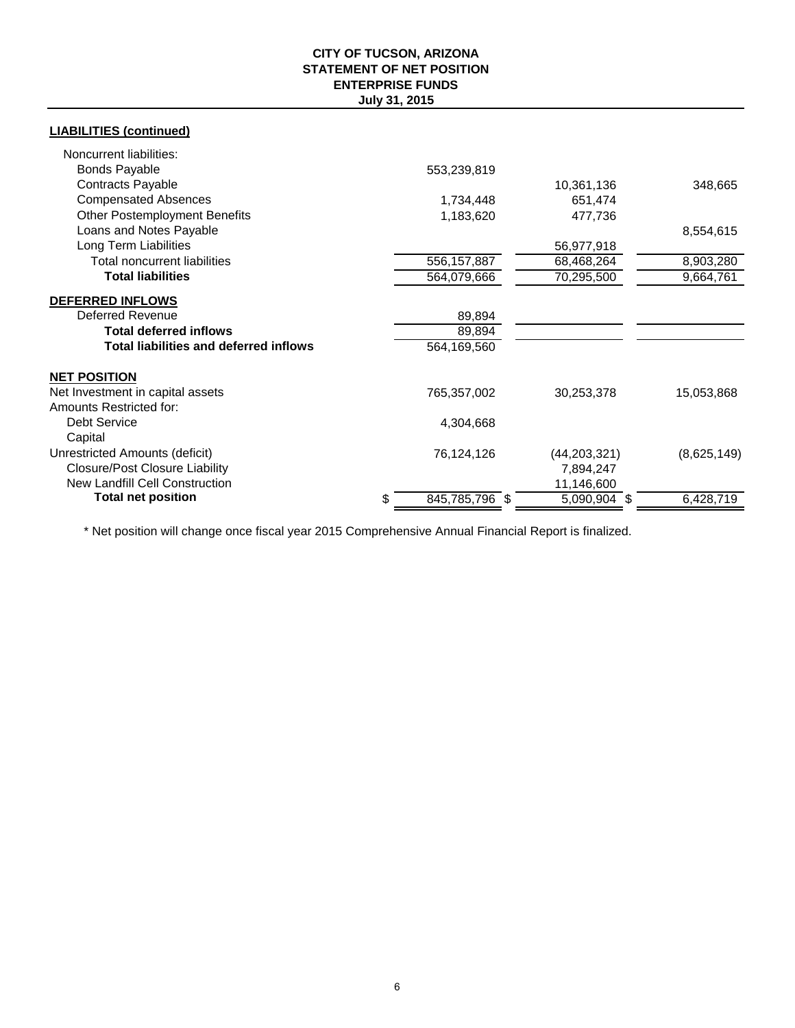## **CITY OF TUCSON, ARIZONA STATEMENT OF NET POSITION July 31, 2015 ENTERPRISE FUNDS**

## **LIABILITIES (continued)**

| Noncurrent liabilities:                       |                      |                |                        |
|-----------------------------------------------|----------------------|----------------|------------------------|
| <b>Bonds Payable</b>                          | 553,239,819          |                |                        |
| Contracts Payable                             |                      | 10,361,136     | 348,665                |
| <b>Compensated Absences</b>                   | 1,734,448            | 651,474        |                        |
| <b>Other Postemployment Benefits</b>          | 1,183,620            | 477,736        |                        |
| Loans and Notes Payable                       |                      |                | 8,554,615              |
| Long Term Liabilities                         |                      | 56,977,918     |                        |
| <b>Total noncurrent liabilities</b>           | 556,157,887          | 68,468,264     | 8,903,280              |
| <b>Total liabilities</b>                      | 564,079,666          | 70,295,500     | 9,664,761              |
| <b>DEFERRED INFLOWS</b>                       |                      |                |                        |
| <b>Deferred Revenue</b>                       | 89,894               |                |                        |
| <b>Total deferred inflows</b>                 | 89,894               |                |                        |
| <b>Total liabilities and deferred inflows</b> | 564,169,560          |                |                        |
| <b>NET POSITION</b>                           |                      |                |                        |
| Net Investment in capital assets              | 765,357,002          | 30,253,378     | 15,053,868             |
| Amounts Restricted for:                       |                      |                |                        |
| <b>Debt Service</b>                           | 4,304,668            |                |                        |
| Capital                                       |                      |                |                        |
| Unrestricted Amounts (deficit)                | 76,124,126           | (44, 203, 321) | (8,625,149)            |
| <b>Closure/Post Closure Liability</b>         |                      | 7,894,247      |                        |
| <b>New Landfill Cell Construction</b>         |                      | 11,146,600     |                        |
| <b>Total net position</b>                     | 845,785,796 \$<br>\$ | 5,090,904 \$   | $6,428,7\overline{19}$ |

\* Net position will change once fiscal year 2015 Comprehensive Annual Financial Report is finalized.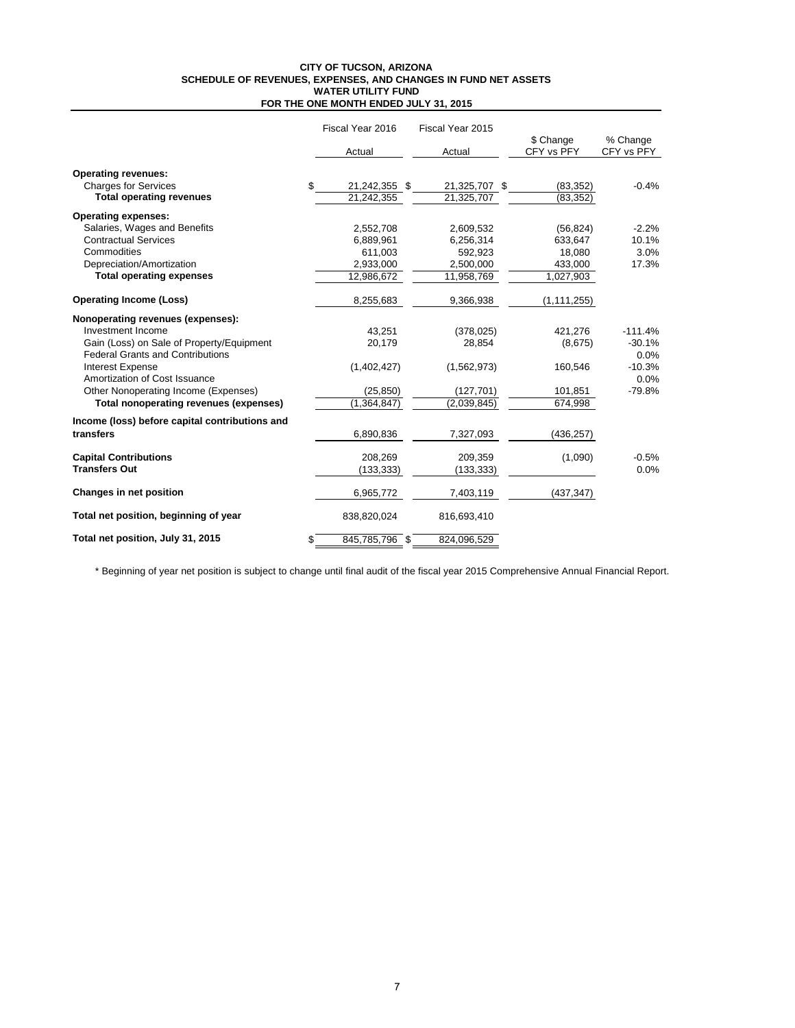#### **CITY OF TUCSON, ARIZONA SCHEDULE OF REVENUES, EXPENSES, AND CHANGES IN FUND NET ASSETS FOR THE ONE MONTH ENDED JULY 31, 2015 WATER UTILITY FUND**

|                                                | Fiscal Year 2016 |                | Fiscal Year 2015 |  |                         |                        |  |
|------------------------------------------------|------------------|----------------|------------------|--|-------------------------|------------------------|--|
|                                                |                  | Actual         | Actual           |  | \$ Change<br>CFY vs PFY | % Change<br>CFY vs PFY |  |
| <b>Operating revenues:</b>                     |                  |                |                  |  |                         |                        |  |
| <b>Charges for Services</b>                    | \$.              | 21,242,355 \$  | 21,325,707 \$    |  | (83, 352)               | $-0.4%$                |  |
| <b>Total operating revenues</b>                |                  | 21,242,355     | 21,325,707       |  | (83, 352)               |                        |  |
| <b>Operating expenses:</b>                     |                  |                |                  |  |                         |                        |  |
| Salaries, Wages and Benefits                   |                  | 2,552,708      | 2,609,532        |  | (56, 824)               | $-2.2%$                |  |
| <b>Contractual Services</b>                    |                  | 6,889,961      | 6,256,314        |  | 633,647                 | 10.1%                  |  |
| Commodities                                    |                  | 611,003        | 592,923          |  | 18,080                  | 3.0%                   |  |
| Depreciation/Amortization                      |                  | 2,933,000      | 2,500,000        |  | 433,000                 | 17.3%                  |  |
| <b>Total operating expenses</b>                |                  | 12,986,672     | 11,958,769       |  | 1,027,903               |                        |  |
| <b>Operating Income (Loss)</b>                 |                  | 8,255,683      | 9,366,938        |  | (1, 111, 255)           |                        |  |
| Nonoperating revenues (expenses):              |                  |                |                  |  |                         |                        |  |
| Investment Income                              |                  | 43,251         | (378, 025)       |  | 421,276                 | $-111.4%$              |  |
| Gain (Loss) on Sale of Property/Equipment      |                  | 20,179         | 28,854           |  | (8,675)                 | $-30.1%$               |  |
| <b>Federal Grants and Contributions</b>        |                  |                |                  |  |                         | 0.0%                   |  |
| <b>Interest Expense</b>                        |                  | (1,402,427)    | (1,562,973)      |  | 160,546                 | $-10.3%$               |  |
| Amortization of Cost Issuance                  |                  |                |                  |  |                         | 0.0%                   |  |
| Other Nonoperating Income (Expenses)           |                  | (25, 850)      | (127, 701)       |  | 101,851                 | $-79.8%$               |  |
| Total nonoperating revenues (expenses)         |                  | (1,364,847)    | (2,039,845)      |  | 674,998                 |                        |  |
| Income (loss) before capital contributions and |                  |                |                  |  |                         |                        |  |
| transfers                                      |                  | 6,890,836      | 7,327,093        |  | (436, 257)              |                        |  |
| <b>Capital Contributions</b>                   |                  | 208.269        | 209,359          |  | (1,090)                 | $-0.5%$                |  |
| <b>Transfers Out</b>                           |                  | (133, 333)     | (133, 333)       |  |                         | 0.0%                   |  |
| Changes in net position                        |                  | 6,965,772      | 7,403,119        |  | (437, 347)              |                        |  |
| Total net position, beginning of year          |                  | 838,820,024    | 816,693,410      |  |                         |                        |  |
| Total net position, July 31, 2015              | \$               | 845,785,796 \$ | 824,096,529      |  |                         |                        |  |

\* Beginning of year net position is subject to change until final audit of the fiscal year 2015 Comprehensive Annual Financial Report.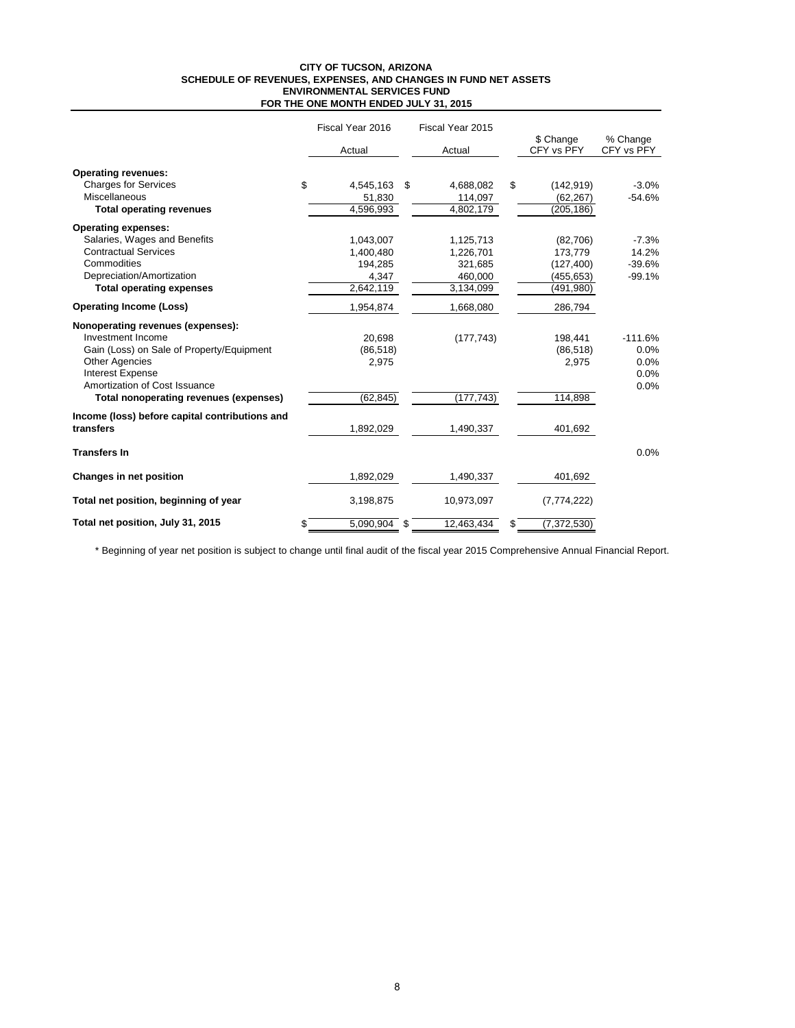#### **CITY OF TUCSON, ARIZONA SCHEDULE OF REVENUES, EXPENSES, AND CHANGES IN FUND NET ASSETS FOR THE ONE MONTH ENDED JULY 31, 2015 ENVIRONMENTAL SERVICES FUND**

|                                                | Fiscal Year 2016     | Fiscal Year 2015 |                         |                        |
|------------------------------------------------|----------------------|------------------|-------------------------|------------------------|
|                                                | Actual               | Actual           | \$ Change<br>CFY vs PFY | % Change<br>CFY vs PFY |
| <b>Operating revenues:</b>                     |                      |                  |                         |                        |
| <b>Charges for Services</b>                    | \$<br>4,545,163      | \$<br>4,688,082  | \$<br>(142, 919)        | $-3.0%$                |
| Miscellaneous                                  | 51,830               | 114,097          | (62, 267)               | $-54.6%$               |
| <b>Total operating revenues</b>                | 4,596,993            | 4,802,179        | (205, 186)              |                        |
| <b>Operating expenses:</b>                     |                      |                  |                         |                        |
| Salaries, Wages and Benefits                   | 1,043,007            | 1,125,713        | (82,706)                | $-7.3%$                |
| <b>Contractual Services</b>                    | 1,400,480            | 1,226,701        | 173,779                 | 14.2%                  |
| Commodities                                    | 194,285              | 321,685          | (127, 400)              | $-39.6%$               |
| Depreciation/Amortization                      | 4,347                | 460,000          | (455, 653)              | $-99.1%$               |
| <b>Total operating expenses</b>                | 2,642,119            | 3,134,099        | (491, 980)              |                        |
| <b>Operating Income (Loss)</b>                 | 1,954,874            | 1,668,080        | 286,794                 |                        |
| Nonoperating revenues (expenses):              |                      |                  |                         |                        |
| Investment Income                              | 20.698               | (177, 743)       | 198,441                 | $-111.6%$              |
| Gain (Loss) on Sale of Property/Equipment      | (86, 518)            |                  | (86, 518)               | 0.0%                   |
| <b>Other Agencies</b>                          | 2,975                |                  | 2,975                   | 0.0%                   |
| <b>Interest Expense</b>                        |                      |                  |                         | 0.0%                   |
| Amortization of Cost Issuance                  |                      |                  |                         | 0.0%                   |
| Total nonoperating revenues (expenses)         | (62, 845)            | (177, 743)       | 114,898                 |                        |
| Income (loss) before capital contributions and |                      |                  |                         |                        |
| transfers                                      | 1,892,029            | 1,490,337        | 401,692                 |                        |
| <b>Transfers In</b>                            |                      |                  |                         | 0.0%                   |
| Changes in net position                        | 1,892,029            | 1,490,337        | 401,692                 |                        |
| Total net position, beginning of year          | 3,198,875            | 10,973,097       | (7,774,222)             |                        |
| Total net position, July 31, 2015              | \$<br>$5,090,904$ \$ | 12,463,434       | \$<br>(7, 372, 530)     |                        |

\* Beginning of year net position is subject to change until final audit of the fiscal year 2015 Comprehensive Annual Financial Report.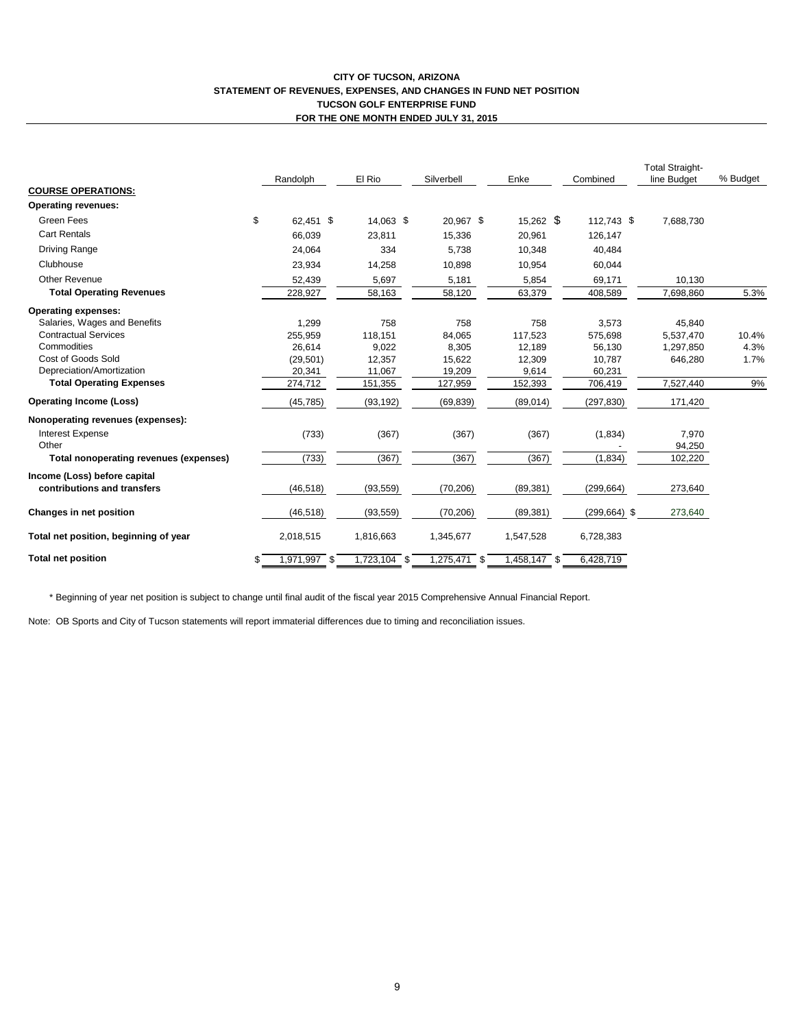#### **CITY OF TUCSON, ARIZONA STATEMENT OF REVENUES, EXPENSES, AND CHANGES IN FUND NET POSITION TUCSON GOLF ENTERPRISE FUND FOR THE ONE MONTH ENDED JULY 31, 2015**

|                                        | El Rio<br>Randolph<br>Silverbell |              | Enke         | Combined     | <b>Total Straight-</b><br>line Budget | % Budget        |           |       |
|----------------------------------------|----------------------------------|--------------|--------------|--------------|---------------------------------------|-----------------|-----------|-------|
| <b>COURSE OPERATIONS:</b>              |                                  |              |              |              |                                       |                 |           |       |
| <b>Operating revenues:</b>             |                                  |              |              |              |                                       |                 |           |       |
| Green Fees                             | \$                               | 62.451 \$    | 14.063 \$    | 20.967 \$    | $15,262$ \$                           | 112.743 \$      | 7,688,730 |       |
| <b>Cart Rentals</b>                    |                                  | 66,039       | 23,811       | 15,336       | 20,961                                | 126,147         |           |       |
| Driving Range                          |                                  | 24,064       | 334          | 5,738        | 10,348                                | 40,484          |           |       |
| Clubhouse                              |                                  | 23,934       | 14,258       | 10,898       | 10,954                                | 60,044          |           |       |
| <b>Other Revenue</b>                   |                                  | 52,439       | 5,697        | 5,181        | 5,854                                 | 69,171          | 10,130    |       |
| <b>Total Operating Revenues</b>        |                                  | 228,927      | 58,163       | 58,120       | 63,379                                | 408,589         | 7,698,860 | 5.3%  |
| <b>Operating expenses:</b>             |                                  |              |              |              |                                       |                 |           |       |
| Salaries, Wages and Benefits           |                                  | 1,299        | 758          | 758          | 758                                   | 3,573           | 45,840    |       |
| <b>Contractual Services</b>            |                                  | 255,959      | 118,151      | 84,065       | 117,523                               | 575,698         | 5,537,470 | 10.4% |
| Commodities                            |                                  | 26,614       | 9,022        | 8,305        | 12,189                                | 56,130          | 1,297,850 | 4.3%  |
| Cost of Goods Sold                     |                                  | (29, 501)    | 12,357       | 15,622       | 12,309                                | 10,787          | 646,280   | 1.7%  |
| Depreciation/Amortization              |                                  | 20,341       | 11,067       | 19,209       | 9,614                                 | 60,231          |           |       |
| <b>Total Operating Expenses</b>        |                                  | 274,712      | 151,355      | 127,959      | 152,393                               | 706,419         | 7,527,440 | 9%    |
| <b>Operating Income (Loss)</b>         |                                  | (45, 785)    | (93, 192)    | (69, 839)    | (89, 014)                             | (297, 830)      | 171,420   |       |
| Nonoperating revenues (expenses):      |                                  |              |              |              |                                       |                 |           |       |
| <b>Interest Expense</b>                |                                  | (733)        | (367)        | (367)        | (367)                                 | (1,834)         | 7,970     |       |
| Other                                  |                                  |              |              |              |                                       |                 | 94,250    |       |
| Total nonoperating revenues (expenses) |                                  | (733)        | (367)        | (367)        | (367)                                 | (1, 834)        | 102,220   |       |
| Income (Loss) before capital           |                                  |              |              |              |                                       |                 |           |       |
| contributions and transfers            |                                  | (46, 518)    | (93, 559)    | (70, 206)    | (89, 381)                             | (299, 664)      | 273,640   |       |
| Changes in net position                |                                  | (46, 518)    | (93, 559)    | (70, 206)    | (89, 381)                             | $(299, 664)$ \$ | 273,640   |       |
| Total net position, beginning of year  |                                  | 2,018,515    | 1,816,663    | 1,345,677    | 1,547,528                             | 6,728,383       |           |       |
| <b>Total net position</b>              | \$                               | 1,971,997 \$ | 1,723,104 \$ | 1,275,471 \$ | 1,458,147 \$                          | 6,428,719       |           |       |

\* Beginning of year net position is subject to change until final audit of the fiscal year 2015 Comprehensive Annual Financial Report.

Note: OB Sports and City of Tucson statements will report immaterial differences due to timing and reconciliation issues.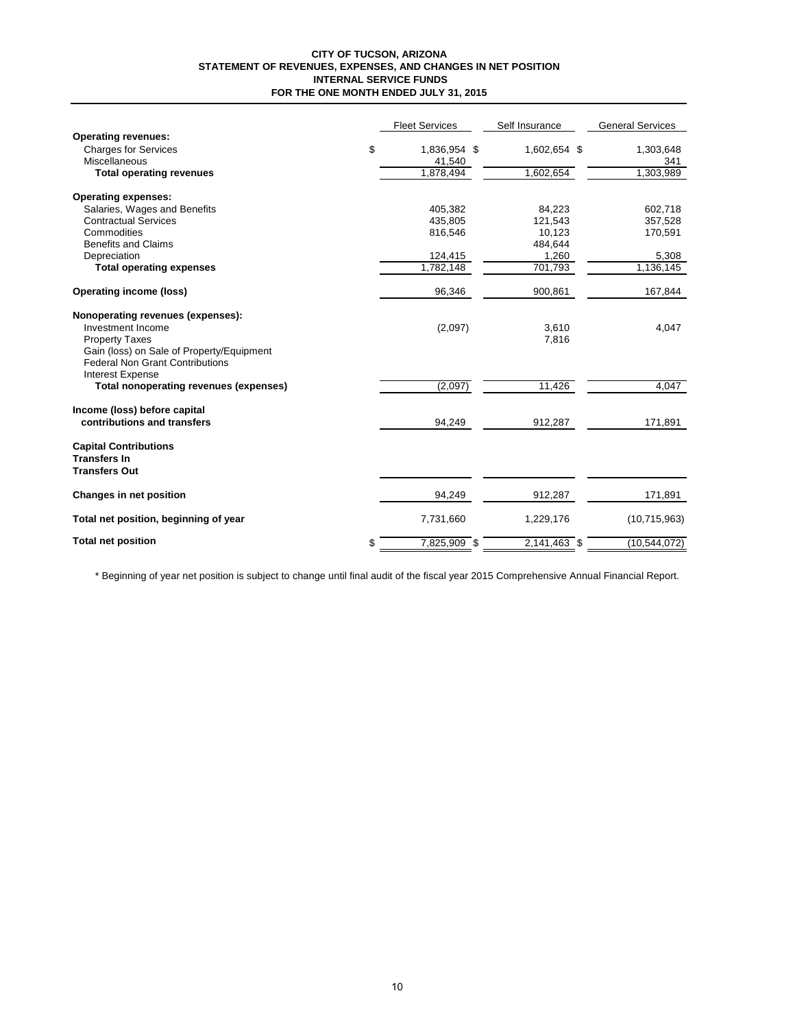#### **CITY OF TUCSON, ARIZONA STATEMENT OF REVENUES, EXPENSES, AND CHANGES IN NET POSITION INTERNAL SERVICE FUNDS FOR THE ONE MONTH ENDED JULY 31, 2015**

|                                           | <b>Fleet Services</b> | Self Insurance | <b>General Services</b> |
|-------------------------------------------|-----------------------|----------------|-------------------------|
| <b>Operating revenues:</b>                |                       |                |                         |
| <b>Charges for Services</b>               | \$<br>1,836,954 \$    | 1,602,654 \$   | 1,303,648               |
| Miscellaneous                             | 41,540                |                | 341                     |
| <b>Total operating revenues</b>           | 1,878,494             | 1,602,654      | 1,303,989               |
| <b>Operating expenses:</b>                |                       |                |                         |
| Salaries, Wages and Benefits              | 405,382               | 84,223         | 602,718                 |
| <b>Contractual Services</b>               | 435,805               | 121,543        | 357,528                 |
| Commodities                               | 816,546               | 10,123         | 170,591                 |
| <b>Benefits and Claims</b>                |                       | 484,644        |                         |
| Depreciation                              | 124,415               | 1,260          | 5,308                   |
| <b>Total operating expenses</b>           | 1,782,148             | 701,793        | 1,136,145               |
| <b>Operating income (loss)</b>            | 96,346                | 900,861        | 167,844                 |
| Nonoperating revenues (expenses):         |                       |                |                         |
| Investment Income                         | (2,097)               | 3,610          | 4,047                   |
| <b>Property Taxes</b>                     |                       | 7,816          |                         |
| Gain (loss) on Sale of Property/Equipment |                       |                |                         |
| <b>Federal Non Grant Contributions</b>    |                       |                |                         |
| Interest Expense                          |                       |                |                         |
| Total nonoperating revenues (expenses)    | (2,097)               | 11,426         | 4,047                   |
| Income (loss) before capital              |                       |                |                         |
| contributions and transfers               | 94,249                | 912,287        | 171,891                 |
| <b>Capital Contributions</b>              |                       |                |                         |
| <b>Transfers In</b>                       |                       |                |                         |
| <b>Transfers Out</b>                      |                       |                |                         |
| Changes in net position                   | 94,249                | 912,287        | 171,891                 |
| Total net position, beginning of year     | 7,731,660             | 1,229,176      | (10, 715, 963)          |
| <b>Total net position</b>                 | \$<br>7,825,909 \$    | $2,141,463$ \$ | (10, 544, 072)          |

\* Beginning of year net position is subject to change until final audit of the fiscal year 2015 Comprehensive Annual Financial Report.